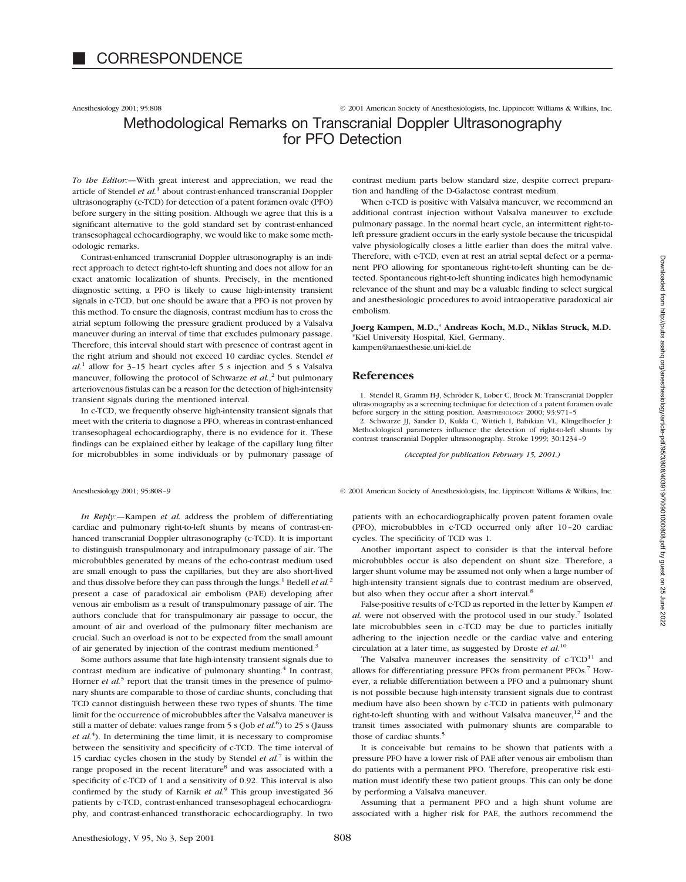Anesthesiology 2001; 95:808 © 2001 American Society of Anesthesiologists, Inc. Lippincott Williams & Wilkins, Inc.

# Methodological Remarks on Transcranial Doppler Ultrasonography for PFO Detection

*To the Editor:—*With great interest and appreciation, we read the article of Stendel *et al.*<sup>1</sup> about contrast-enhanced transcranial Doppler ultrasonography (c-TCD) for detection of a patent foramen ovale (PFO) before surgery in the sitting position. Although we agree that this is a significant alternative to the gold standard set by contrast-enhanced transesophageal echocardiography, we would like to make some methodologic remarks.

Contrast-enhanced transcranial Doppler ultrasonography is an indirect approach to detect right-to-left shunting and does not allow for an exact anatomic localization of shunts. Precisely, in the mentioned diagnostic setting, a PFO is likely to cause high-intensity transient signals in c-TCD, but one should be aware that a PFO is not proven by this method. To ensure the diagnosis, contrast medium has to cross the atrial septum following the pressure gradient produced by a Valsalva maneuver during an interval of time that excludes pulmonary passage. Therefore, this interval should start with presence of contrast agent in the right atrium and should not exceed 10 cardiac cycles. Stendel *et*  $al<sup>1</sup>$  allow for 3-15 heart cycles after 5 s injection and 5 s Valsalva maneuver, following the protocol of Schwarze *et al.*<sup>2</sup> but pulmonary arteriovenous fistulas can be a reason for the detection of high-intensity transient signals during the mentioned interval.

In c-TCD, we frequently observe high-intensity transient signals that meet with the criteria to diagnose a PFO, whereas in contrast-enhanced transesophageal echocardiography, there is no evidence for it. These findings can be explained either by leakage of the capillary lung filter for microbubbles in some individuals or by pulmonary passage of

*In Reply:—*Kampen *et al.* address the problem of differentiating cardiac and pulmonary right-to-left shunts by means of contrast-enhanced transcranial Doppler ultrasonography (c-TCD). It is important to distinguish transpulmonary and intrapulmonary passage of air. The microbubbles generated by means of the echo-contrast medium used are small enough to pass the capillaries, but they are also short-lived and thus dissolve before they can pass through the lungs.<sup>1</sup> Bedell *et al.*<sup>2</sup> present a case of paradoxical air embolism (PAE) developing after venous air embolism as a result of transpulmonary passage of air. The authors conclude that for transpulmonary air passage to occur, the amount of air and overload of the pulmonary filter mechanism are crucial. Such an overload is not to be expected from the small amount of air generated by injection of the contrast medium mentioned.<sup>3</sup>

Some authors assume that late high-intensity transient signals due to contrast medium are indicative of pulmonary shunting.<sup>4</sup> In contrast, Horner *et al.*<sup>5</sup> report that the transit times in the presence of pulmonary shunts are comparable to those of cardiac shunts, concluding that TCD cannot distinguish between these two types of shunts. The time limit for the occurrence of microbubbles after the Valsalva maneuver is still a matter of debate: values range from 5 s (Job *et al.*<sup>6</sup>) to 25 s (Jauss  $et$   $al.$ <sup>4</sup>). In determining the time limit, it is necessary to compromise between the sensitivity and specificity of c-TCD. The time interval of 15 cardiac cycles chosen in the study by Stendel *et al.*<sup>7</sup> is within the range proposed in the recent literature<sup>8</sup> and was associated with a specificity of c-TCD of 1 and a sensitivity of 0.92. This interval is also confirmed by the study of Karnik *et al.*<sup>9</sup> This group investigated 36 patients by c-TCD, contrast-enhanced transesophageal echocardiography, and contrast-enhanced transthoracic echocardiography. In two contrast medium parts below standard size, despite correct preparation and handling of the D-Galactose contrast medium.

When c-TCD is positive with Valsalva maneuver, we recommend an additional contrast injection without Valsalva maneuver to exclude pulmonary passage. In the normal heart cycle, an intermittent right-toleft pressure gradient occurs in the early systole because the tricuspidal valve physiologically closes a little earlier than does the mitral valve. Therefore, with c-TCD, even at rest an atrial septal defect or a permanent PFO allowing for spontaneous right-to-left shunting can be detected. Spontaneous right-to-left shunting indicates high hemodynamic relevance of the shunt and may be a valuable finding to select surgical and anesthesiologic procedures to avoid intraoperative paradoxical air embolism.

## **Joerg Kampen, M.D.,**\* **Andreas Koch, M.D., Niklas Struck, M.D.** \*Kiel University Hospital, Kiel, Germany.

kampen@anaesthesie.uni-kiel.de

## **References**

1. Stendel R, Gramm H-J, Schröder K, Lober C, Brock M: Transcranial Doppler ultrasonography as a screening technique for detection of a patent foramen ovale before surgery in the sitting position. ANESTHESIOLOGY 2000; 93:971-5<br>2. Schwarze JJ, Sander D, Kukla C, Wittich I, Babikian VL, Klingelhoefer J:

Methodological parameters influence the detection of right-to-left shunts by contrast transcranial Doppler ultrasonography. Stroke 1999; 30:1234–9

*(Accepted for publication February 15, 2001.)*

Anesthesiology 2001; 95:808–9 © 2001 American Society of Anesthesiologists, Inc. Lippincott Williams & Wilkins, Inc.

patients with an echocardiographically proven patent foramen ovale (PFO), microbubbles in c-TCD occurred only after 10–20 cardiac cycles. The specificity of TCD was 1.

Another important aspect to consider is that the interval before microbubbles occur is also dependent on shunt size. Therefore, a larger shunt volume may be assumed not only when a large number of high-intensity transient signals due to contrast medium are observed, but also when they occur after a short interval.<sup>8</sup>

False-positive results of c-TCD as reported in the letter by Kampen *et al.* were not observed with the protocol used in our study.<sup>7</sup> Isolated late microbubbles seen in c-TCD may be due to particles initially adhering to the injection needle or the cardiac valve and entering circulation at a later time, as suggested by Droste *et al.*<sup>10</sup>

The Valsalva maneuver increases the sensitivity of  $c$ -TCD<sup>11</sup> and allows for differentiating pressure PFOs from permanent PFOs.7 However, a reliable differentiation between a PFO and a pulmonary shunt is not possible because high-intensity transient signals due to contrast medium have also been shown by c-TCD in patients with pulmonary right-to-left shunting with and without Valsalva maneuver, $12$  and the transit times associated with pulmonary shunts are comparable to those of cardiac shunts.<sup>5</sup>

It is conceivable but remains to be shown that patients with a pressure PFO have a lower risk of PAE after venous air embolism than do patients with a permanent PFO. Therefore, preoperative risk estimation must identify these two patient groups. This can only be done by performing a Valsalva maneuver.

Assuming that a permanent PFO and a high shunt volume are associated with a higher risk for PAE, the authors recommend the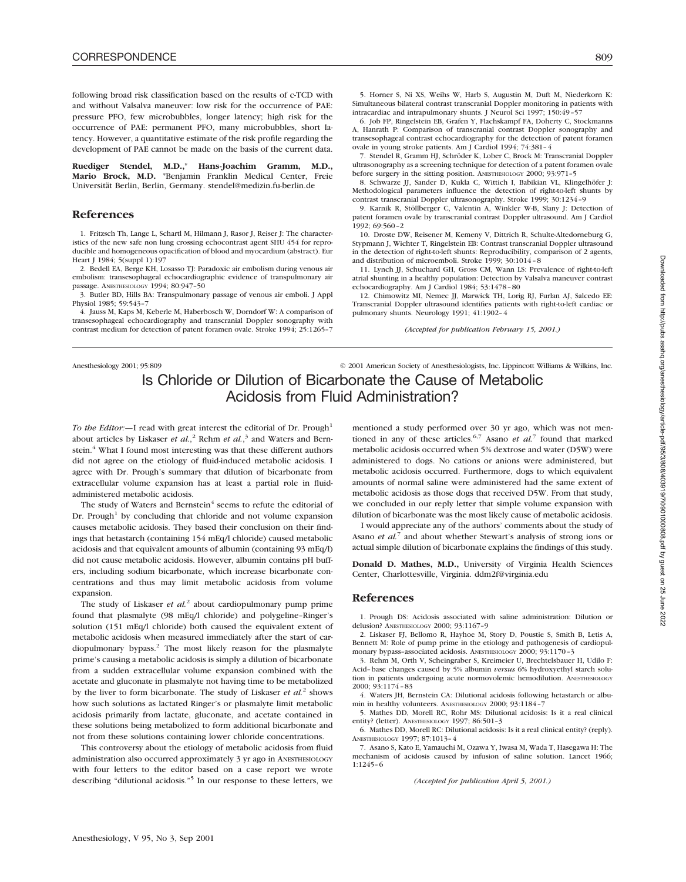following broad risk classification based on the results of c-TCD with and without Valsalva maneuver: low risk for the occurrence of PAE: pressure PFO, few microbubbles, longer latency; high risk for the occurrence of PAE: permanent PFO, many microbubbles, short latency. However, a quantitative estimate of the risk profile regarding the development of PAE cannot be made on the basis of the current data.

**Ruediger Stendel, M.D.,**\* **Hans-Joachim Gramm, M.D., Mario Brock, M.D.** \*Benjamin Franklin Medical Center, Freie Universität Berlin, Berlin, Germany. stendel@medizin.fu-berlin.de

## **References**

1. Fritzsch Th, Lange L, Schartl M, Hilmann J, Rasor J, Reiser J: The characteristics of the new safe non lung crossing echocontrast agent SHU 454 for reproducible and homogeneous opacification of blood and myocardium (abstract). Eur Heart J 1984; 5(suppl 1):197

2. Bedell EA, Berge KH, Losasso TJ: Paradoxic air embolism during venous air embolism: transesophageal echocardiographic evidence of transpulmonary air passage. ANESTHESIOLOGY 1994; 80:947–50

3. Butler BD, Hills BA: Transpulmonary passage of venous air emboli. J Appl Physiol 1985; 59:543–7

4. Jauss M, Kaps M, Keberle M, Haberbosch W, Dorndorf W: A comparison of transesophageal echocardiography and transcranial Doppler sonography with contrast medium for detection of patent foramen ovale. Stroke 1994; 25:1265–7

6. Job FP, Ringelstein EB, Grafen Y, Flachskampf FA, Doherty C, Stockmanns A, Hanrath P: Comparison of transcranial contrast Doppler sonography and transesophageal contrast echocardiography for the detection of patent foramen ovale in young stroke patients. Am J Cardiol 1994; 74:381–4

7. Stendel R, Gramm HJ, Schröder K, Lober C, Brock M: Transcranial Doppler ultrasonography as a screening technique for detection of a patent foramen ovale before surgery in the sitting position. ANESTHESIOLOGY 2000; 93:971-5

8. Schwarze JJ, Sander D, Kukla C, Wittich I, Babikian VL, Klingelhöfer J: Methodological parameters influence the detection of right-to-left shunts by contrast transcranial Doppler ultrasonography. Stroke 1999; 30:1234–9

9. Karnik R, Stöllberger C, Valentin A, Winkler W-B, Slany J: Detection of patent foramen ovale by transcranial contrast Doppler ultrasound. Am J Cardiol 1992; 69:560–2

10. Droste DW, Reisener M, Kemeny V, Dittrich R, Schulte-Altedorneburg G, Stypmann J, Wichter T, Ringelstein EB: Contrast transcranial Doppler ultrasound in the detection of right-to-left shunts: Reproducibility, comparison of 2 agents, and distribution of microemboli. Stroke 1999; 30:1014–8

11. Lynch JJ, Schuchard GH, Gross CM, Wann LS: Prevalence of right-to-left atrial shunting in a healthy population: Detection by Valsalva maneuver contrast echocardiography. Am J Cardiol 1984; 53:1478–80

12. Chimowitz MI, Nemec JJ, Marwick TH, Lorig RJ, Furlan AJ, Salcedo EE: Transcranial Doppler ultrasound identifies patients with right-to-left cardiac or pulmonary shunts. Neurology 1991; 41:1902–4

*(Accepted for publication February 15, 2001.)*

Anesthesiology 2001; 95:809 © 2001 American Society of Anesthesiologists, Inc. Lippincott Williams & Wilkins, Inc. Is Chloride or Dilution of Bicarbonate the Cause of Metabolic Acidosis from Fluid Administration?

*To the Editor:*—I read with great interest the editorial of Dr. Prough<sup>1</sup> about articles by Liskaser *et al.*, <sup>2</sup> Rehm *et al.*, <sup>3</sup> and Waters and Bernstein.<sup>4</sup> What I found most interesting was that these different authors did not agree on the etiology of fluid-induced metabolic acidosis. I agree with Dr. Prough's summary that dilution of bicarbonate from extracellular volume expansion has at least a partial role in fluidadministered metabolic acidosis.

The study of Waters and Bernstein<sup>4</sup> seems to refute the editorial of Dr. Prough<sup>1</sup> by concluding that chloride and not volume expansion causes metabolic acidosis. They based their conclusion on their findings that hetastarch (containing 154 mEq/l chloride) caused metabolic acidosis and that equivalent amounts of albumin (containing 93 mEq/l) did not cause metabolic acidosis. However, albumin contains pH buffers, including sodium bicarbonate, which increase bicarbonate concentrations and thus may limit metabolic acidosis from volume expansion.

The study of Liskaser *et al.*<sup>2</sup> about cardiopulmonary pump prime found that plasmalyte (98 mEq/l chloride) and polygeline–Ringer's solution (151 mEq/l chloride) both caused the equivalent extent of metabolic acidosis when measured immediately after the start of cardiopulmonary bypass.2 The most likely reason for the plasmalyte prime's causing a metabolic acidosis is simply a dilution of bicarbonate from a sudden extracellular volume expansion combined with the acetate and gluconate in plasmalyte not having time to be metabolized by the liver to form bicarbonate. The study of Liskaser *et al.*<sup>2</sup> shows how such solutions as lactated Ringer's or plasmalyte limit metabolic acidosis primarily from lactate, gluconate, and acetate contained in these solutions being metabolized to form additional bicarbonate and not from these solutions containing lower chloride concentrations.

This controversy about the etiology of metabolic acidosis from fluid administration also occurred approximately 3 yr ago in ANESTHESIOLOGY with four letters to the editor based on a case report we wrote describing "dilutional acidosis."5 In our response to these letters, we

mentioned a study performed over 30 yr ago, which was not mentioned in any of these articles.<sup>6,7</sup> Asano *et al.*<sup>7</sup> found that marked metabolic acidosis occurred when 5% dextrose and water (D5W) were administered to dogs. No cations or anions were administered, but metabolic acidosis occurred. Furthermore, dogs to which equivalent amounts of normal saline were administered had the same extent of metabolic acidosis as those dogs that received D5W. From that study, we concluded in our reply letter that simple volume expansion with dilution of bicarbonate was the most likely cause of metabolic acidosis.

I would appreciate any of the authors' comments about the study of Asano *et al.*<sup>7</sup> and about whether Stewart's analysis of strong ions or actual simple dilution of bicarbonate explains the findings of this study.

**Donald D. Mathes, M.D.,** University of Virginia Health Sciences Center, Charlottesville, Virginia. ddm2f@virginia.edu

### **References**

1. Prough DS: Acidosis associated with saline administration: Dilution or delusion? ANESTHESIOLOGY 2000; 93:1167–9

2. Liskaser FJ, Bellomo R, Hayhoe M, Story D, Poustie S, Smith B, Letis A, Bennett M: Role of pump prime in the etiology and pathogenesis of cardiopulmonary bypass–associated acidosis. ANESTHESIOLOGY 2000; 93:1170–3

3. Rehm M, Orth V, Scheingraber S, Kreimeier U, Brechtelsbauer H, Udilo F: Acid–base changes caused by 5% albumin *versus* 6% hydroxyethyl starch solution in patients undergoing acute normovolemic hemodilution. ANESTHESIOLOGY 2000; 93:1174–83

4. Waters JH, Bernstein CA: Dilutional acidosis following hetastarch or albumin in healthy volunteers. ANESTHESIOLOGY 2000: 93:1184-

5. Mathes DD, Morell RC, Rohr MS: Dilutional acidosis: Is it a real clinical entity? (letter). ANESTHESIOLOGY 1997; 86:501–3

6. Mathes DD, Morell RC: Dilutional acidosis: Is it a real clinical entity? (reply). ANESTHESIOLOGY 1997; 87:1013–4

7. Asano S, Kato E, Yamauchi M, Ozawa Y, Iwasa M, Wada T, Hasegawa H: The mechanism of acidosis caused by infusion of saline solution. Lancet 1966; 1:1245–6

*(Accepted for publication April 5, 2001.)*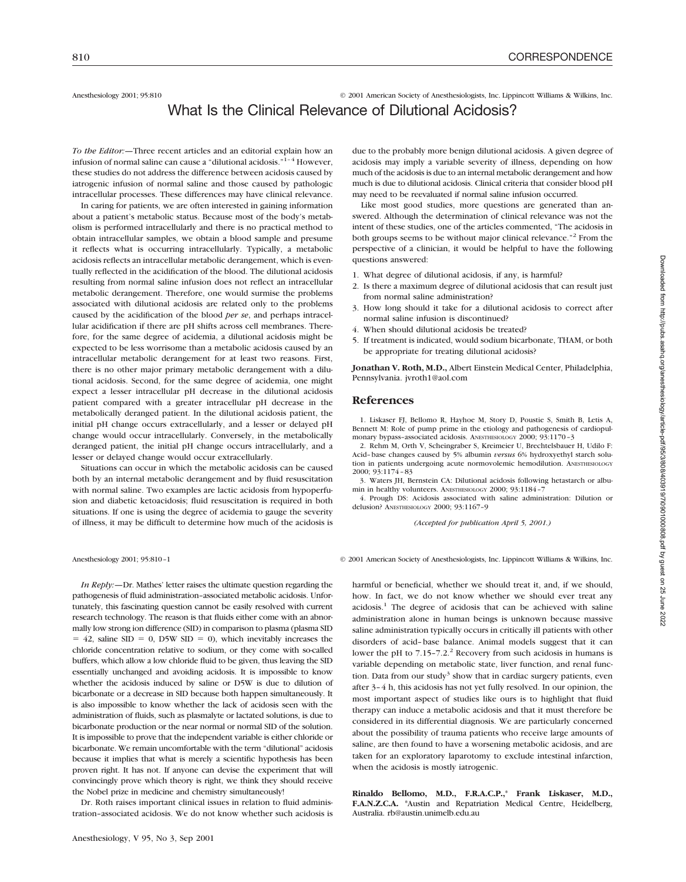Anesthesiology 2001; 95:810 © 2001 American Society of Anesthesiologists, Inc. Lippincott Williams & Wilkins, Inc.

# What Is the Clinical Relevance of Dilutional Acidosis?

*To the Editor:—*Three recent articles and an editorial explain how an infusion of normal saline can cause a "dilutional acidosis."<sup>1-4</sup> However, these studies do not address the difference between acidosis caused by iatrogenic infusion of normal saline and those caused by pathologic intracellular processes. These differences may have clinical relevance.

In caring for patients, we are often interested in gaining information about a patient's metabolic status. Because most of the body's metabolism is performed intracellularly and there is no practical method to obtain intracellular samples, we obtain a blood sample and presume it reflects what is occurring intracellularly. Typically, a metabolic acidosis reflects an intracellular metabolic derangement, which is eventually reflected in the acidification of the blood. The dilutional acidosis resulting from normal saline infusion does not reflect an intracellular metabolic derangement. Therefore, one would surmise the problems associated with dilutional acidosis are related only to the problems caused by the acidification of the blood *per se*, and perhaps intracellular acidification if there are pH shifts across cell membranes. Therefore, for the same degree of acidemia, a dilutional acidosis might be expected to be less worrisome than a metabolic acidosis caused by an intracellular metabolic derangement for at least two reasons. First, there is no other major primary metabolic derangement with a dilutional acidosis. Second, for the same degree of acidemia, one might expect a lesser intracellular pH decrease in the dilutional acidosis patient compared with a greater intracellular pH decrease in the metabolically deranged patient. In the dilutional acidosis patient, the initial pH change occurs extracellularly, and a lesser or delayed pH change would occur intracellularly. Conversely, in the metabolically deranged patient, the initial pH change occurs intracellularly, and a lesser or delayed change would occur extracellularly.

Situations can occur in which the metabolic acidosis can be caused both by an internal metabolic derangement and by fluid resuscitation with normal saline. Two examples are lactic acidosis from hypoperfusion and diabetic ketoacidosis; fluid resuscitation is required in both situations. If one is using the degree of acidemia to gauge the severity of illness, it may be difficult to determine how much of the acidosis is

*In Reply:*—Dr. Mathes' letter raises the ultimate question regarding the pathogenesis of fluid administration–associated metabolic acidosis. Unfortunately, this fascinating question cannot be easily resolved with current research technology. The reason is that fluids either come with an abnormally low strong ion difference (SID) in comparison to plasma (plasma SID  $= 42$ , saline SID  $= 0$ , D5W SID  $= 0$ ), which inevitably increases the chloride concentration relative to sodium, or they come with so-called buffers, which allow a low chloride fluid to be given, thus leaving the SID essentially unchanged and avoiding acidosis. It is impossible to know whether the acidosis induced by saline or D5W is due to dilution of bicarbonate or a decrease in SID because both happen simultaneously. It is also impossible to know whether the lack of acidosis seen with the administration of fluids, such as plasmalyte or lactated solutions, is due to bicarbonate production or the near normal or normal SID of the solution. It is impossible to prove that the independent variable is either chloride or bicarbonate. We remain uncomfortable with the term "dilutional" acidosis because it implies that what is merely a scientific hypothesis has been proven right. It has not. If anyone can devise the experiment that will convincingly prove which theory is right, we think they should receive the Nobel prize in medicine and chemistry simultaneously!

Dr. Roth raises important clinical issues in relation to fluid administration–associated acidosis. We do not know whether such acidosis is due to the probably more benign dilutional acidosis. A given degree of acidosis may imply a variable severity of illness, depending on how much of the acidosis is due to an internal metabolic derangement and how much is due to dilutional acidosis. Clinical criteria that consider blood pH may need to be reevaluated if normal saline infusion occurred.

Like most good studies, more questions are generated than answered. Although the determination of clinical relevance was not the intent of these studies, one of the articles commented, "The acidosis in both groups seems to be without major clinical relevance."<sup>2</sup> From the perspective of a clinician, it would be helpful to have the following questions answered:

- 1. What degree of dilutional acidosis, if any, is harmful?
- 2. Is there a maximum degree of dilutional acidosis that can result just from normal saline administration?
- 3. How long should it take for a dilutional acidosis to correct after normal saline infusion is discontinued?
- 4. When should dilutional acidosis be treated?
- 5. If treatment is indicated, would sodium bicarbonate, THAM, or both be appropriate for treating dilutional acidosis?

**Jonathan V. Roth, M.D.,** Albert Einstein Medical Center, Philadelphia, Pennsylvania. jvroth1@aol.com

### **References**

1. Liskaser FJ, Bellomo R, Hayhoe M, Story D, Poustie S, Smith B, Letis A, Bennett M: Role of pump prime in the etiology and pathogenesis of cardiopulmonary bypass–associated acidosis. ANESTHESIOLOGY 2000; 93:1170–3

2. Rehm M, Orth V, Scheingraber S, Kreimeier U, Brechtelsbauer H, Udilo F: Acid–base changes caused by 5% albumin *versus* 6% hydroxyethyl starch solution in patients undergoing acute normovolemic hemodilution. ANESTHESIOLOGY 2000; 93:1174–83

3. Waters JH, Bernstein CA: Dilutional acidosis following hetastarch or albumin in healthy volunteers. ANESTHESIOLOGY 2000; 93:1184-7

4. Prough DS: Acidosis associated with saline administration: Dilution or delusion? ANESTHESIOLOGY 2000; 93:1167–9

*(Accepted for publication April 5, 2001.)*

Anesthesiology 2001; 95:810-1 © 2001 American Society of Anesthesiologists, Inc. Lippincott Williams & Wilkins, Inc.

harmful or beneficial, whether we should treat it, and, if we should, how. In fact, we do not know whether we should ever treat any  $acidosis<sup>1</sup>$ . The degree of acidosis that can be achieved with saline administration alone in human beings is unknown because massive saline administration typically occurs in critically ill patients with other disorders of acid–base balance. Animal models suggest that it can lower the pH to  $7.15$ -7.2.<sup>2</sup> Recovery from such acidosis in humans is variable depending on metabolic state, liver function, and renal function. Data from our study<sup>3</sup> show that in cardiac surgery patients, even after 3–4 h, this acidosis has not yet fully resolved. In our opinion, the most important aspect of studies like ours is to highlight that fluid therapy can induce a metabolic acidosis and that it must therefore be considered in its differential diagnosis. We are particularly concerned about the possibility of trauma patients who receive large amounts of saline, are then found to have a worsening metabolic acidosis, and are taken for an exploratory laparotomy to exclude intestinal infarction, when the acidosis is mostly iatrogenic.

**Rinaldo Bellomo, M.D., F.R.A.C.P.,**\* **Frank Liskaser, M.D., F.A.N.Z.C.A.** \*Austin and Repatriation Medical Centre, Heidelberg, Australia. rb@austin.unimelb.edu.au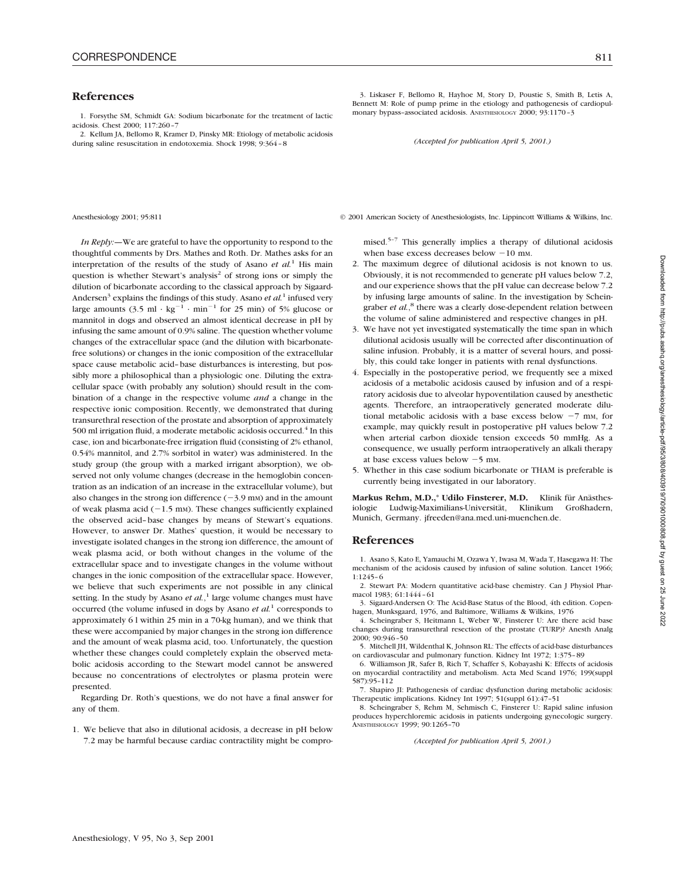### **References**

1. Forsythe SM, Schmidt GA: Sodium bicarbonate for the treatment of lactic acidosis. Chest 2000; 117:260–7

2. Kellum JA, Bellomo R, Kramer D, Pinsky MR: Etiology of metabolic acidosis during saline resuscitation in endotoxemia. Shock 1998; 9:364–8

*In Reply:—*We are grateful to have the opportunity to respond to the thoughtful comments by Drs. Mathes and Roth. Dr. Mathes asks for an interpretation of the results of the study of Asano *et al.*<sup>1</sup> His main question is whether Stewart's analysis<sup>2</sup> of strong ions or simply the dilution of bicarbonate according to the classical approach by Sigaard-Andersen<sup>3</sup> explains the findings of this study. Asano *et al.*<sup>1</sup> infused very large amounts (3.5 ml  $\cdot$  kg<sup>-1</sup>  $\cdot$  min<sup>-1</sup> for 25 min) of 5% glucose or mannitol in dogs and observed an almost identical decrease in pH by infusing the same amount of 0.9% saline. The question whether volume changes of the extracellular space (and the dilution with bicarbonatefree solutions) or changes in the ionic composition of the extracellular space cause metabolic acid–base disturbances is interesting, but possibly more a philosophical than a physiologic one. Diluting the extracellular space (with probably any solution) should result in the combination of a change in the respective volume *and* a change in the respective ionic composition. Recently, we demonstrated that during transurethral resection of the prostate and absorption of approximately 500 ml irrigation fluid, a moderate metabolic acidosis occurred.<sup>4</sup> In this case, ion and bicarbonate-free irrigation fluid (consisting of 2% ethanol, 0.54% mannitol, and 2.7% sorbitol in water) was administered. In the study group (the group with a marked irrigant absorption), we observed not only volume changes (decrease in the hemoglobin concentration as an indication of an increase in the extracellular volume), but also changes in the strong ion difference  $(-3.9 \text{ mm})$  and in the amount of weak plasma acid  $(-1.5 \text{ mm})$ . These changes sufficiently explained the observed acid–base changes by means of Stewart's equations. However, to answer Dr. Mathes' question, it would be necessary to investigate isolated changes in the strong ion difference, the amount of weak plasma acid, or both without changes in the volume of the extracellular space and to investigate changes in the volume without changes in the ionic composition of the extracellular space. However, we believe that such experiments are not possible in any clinical setting. In the study by Asano *et al.*,<sup>1</sup> large volume changes must have occurred (the volume infused in dogs by Asano *et al.*<sup>1</sup> corresponds to approximately 6 l within 25 min in a 70-kg human), and we think that these were accompanied by major changes in the strong ion difference and the amount of weak plasma acid, too. Unfortunately, the question whether these changes could completely explain the observed metabolic acidosis according to the Stewart model cannot be answered because no concentrations of electrolytes or plasma protein were presented.

Regarding Dr. Roth's questions, we do not have a final answer for any of them.

1. We believe that also in dilutional acidosis, a decrease in pH below 7.2 may be harmful because cardiac contractility might be compro-

3. Liskaser F, Bellomo R, Hayhoe M, Story D, Poustie S, Smith B, Letis A, Bennett M: Role of pump prime in the etiology and pathogenesis of cardiopulmonary bypass–associated acidosis. ANESTHESIOLOGY 2000; 93:1170–3

*(Accepted for publication April 5, 2001.)*

Anesthesiology 2001; 95:811 © 2001 American Society of Anesthesiologists, Inc. Lippincott Williams & Wilkins, Inc.

mised.5–7 This generally implies a therapy of dilutional acidosis when base excess decreases below  $-10$  mm.

- 2. The maximum degree of dilutional acidosis is not known to us. Obviously, it is not recommended to generate pH values below 7.2, and our experience shows that the pH value can decrease below 7.2 by infusing large amounts of saline. In the investigation by Scheingraber *et al.*, <sup>8</sup> there was a clearly dose-dependent relation between the volume of saline administered and respective changes in pH.
- 3. We have not yet investigated systematically the time span in which dilutional acidosis usually will be corrected after discontinuation of saline infusion. Probably, it is a matter of several hours, and possibly, this could take longer in patients with renal dysfunctions.
- 4. Especially in the postoperative period, we frequently see a mixed acidosis of a metabolic acidosis caused by infusion and of a respiratory acidosis due to alveolar hypoventilation caused by anesthetic agents. Therefore, an intraoperatively generated moderate dilutional metabolic acidosis with a base excess below  $-7$  mm, for example, may quickly result in postoperative pH values below 7.2 when arterial carbon dioxide tension exceeds 50 mmHg. As a consequence, we usually perform intraoperatively an alkali therapy at base excess values below  $-5$  mm.
- 5. Whether in this case sodium bicarbonate or THAM is preferable is currently being investigated in our laboratory.

**Markus Rehm, M.D.,**\* **Udilo Finsterer, M.D.** Klinik für Anästhesiologie Ludwig-Maximilians-Universität, Klinikum Großhadern, Munich, Germany. jfreeden@ana.med.uni-muenchen.de.

## **References**

1. Asano S, Kato E, Yamauchi M, Ozawa Y, Iwasa M, Wada T, Hasegawa H: The mechanism of the acidosis caused by infusion of saline solution. Lancet 1966; 1:1245–6

2. Stewart PA: Modern quantitative acid-base chemistry. Can J Physiol Pharmacol 1983; 61:1444–61

3. Sigaard-Andersen O: The Acid-Base Status of the Blood, 4th edition. Copenhagen, Munksgaard, 1976, and Baltimore, Williams & Wilkins, 1976

4. Scheingraber S, Heitmann L, Weber W, Finsterer U: Are there acid base changes during transurethral resection of the prostate (TURP)? Anesth Analg 2000; 90:946–50

5. Mitchell JH, Wildenthal K, Johnson RL: The effects of acid-base disturbances on cardiovascular and pulmonary function. Kidney Int 1972; 1:375–89

6. Williamson JR, Safer B, Rich T, Schaffer S, Kobayashi K: Effects of acidosis on myocardial contractility and metabolism. Acta Med Scand 1976; 199(suppl 587):95–112

7. Shapiro JI: Pathogenesis of cardiac dysfunction during metabolic acidosis: Therapeutic implications. Kidney Int 1997; 51(suppl 61):47–51

8. Scheingraber S, Rehm M, Sehmisch C, Finsterer U: Rapid saline infusion produces hyperchloremic acidosis in patients undergoing gynecologic surgery. ANESTHESIOLOGY 1999; 90:1265–70

*(Accepted for publication April 5, 2001.)*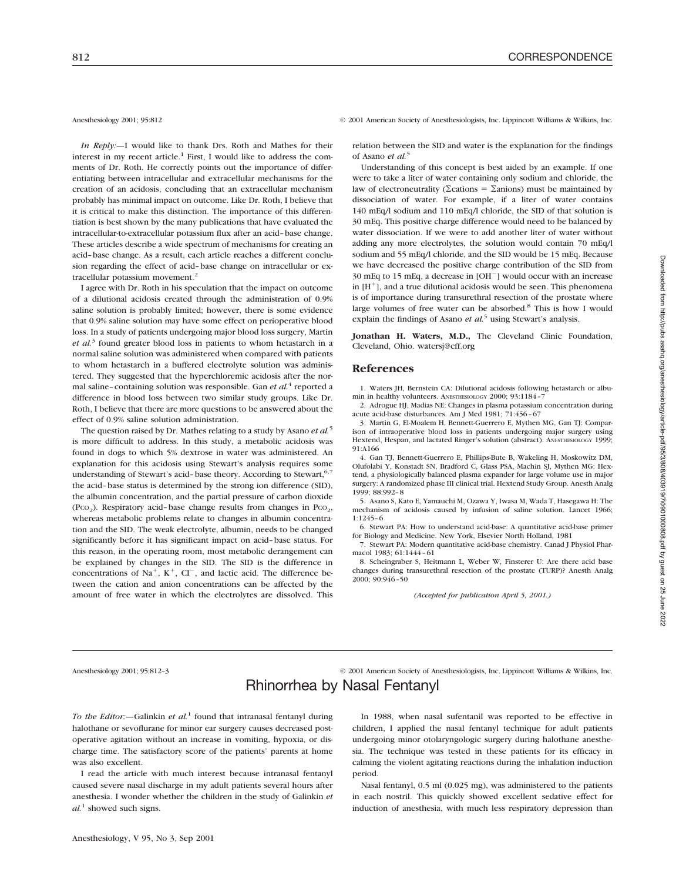*In Reply:—*I would like to thank Drs. Roth and Mathes for their interest in my recent article.<sup>1</sup> First, I would like to address the comments of Dr. Roth. He correctly points out the importance of differentiating between intracellular and extracellular mechanisms for the creation of an acidosis, concluding that an extracellular mechanism probably has minimal impact on outcome. Like Dr. Roth, I believe that it is critical to make this distinction. The importance of this differentiation is best shown by the many publications that have evaluated the intracellular-to-extracellular potassium flux after an acid–base change. These articles describe a wide spectrum of mechanisms for creating an acid–base change. As a result, each article reaches a different conclusion regarding the effect of acid–base change on intracellular or extracellular potassium movement.<sup>2</sup>

I agree with Dr. Roth in his speculation that the impact on outcome of a dilutional acidosis created through the administration of 0.9% saline solution is probably limited; however, there is some evidence that 0.9% saline solution may have some effect on perioperative blood loss. In a study of patients undergoing major blood loss surgery, Martin *et al.*<sup>3</sup> found greater blood loss in patients to whom hetastarch in a normal saline solution was administered when compared with patients to whom hetastarch in a buffered electrolyte solution was administered. They suggested that the hyperchloremic acidosis after the normal saline–containing solution was responsible. Gan *et al.*<sup>4</sup> reported a difference in blood loss between two similar study groups. Like Dr. Roth, I believe that there are more questions to be answered about the effect of 0.9% saline solution administration.

The question raised by Dr. Mathes relating to a study by Asano *et al.*<sup>5</sup> is more difficult to address. In this study, a metabolic acidosis was found in dogs to which 5% dextrose in water was administered. An explanation for this acidosis using Stewart's analysis requires some understanding of Stewart's acid-base theory. According to Stewart, 6,7 the acid–base status is determined by the strong ion difference (SID), the albumin concentration, and the partial pressure of carbon dioxide (Pco<sub>2</sub>). Respiratory acid-base change results from changes in Pco<sub>2</sub>, whereas metabolic problems relate to changes in albumin concentration and the SID. The weak electrolyte, albumin, needs to be changed significantly before it has significant impact on acid–base status. For this reason, in the operating room, most metabolic derangement can be explained by changes in the SID. The SID is the difference in concentrations of  $Na^+$ ,  $K^+$ ,  $CI^-$ , and lactic acid. The difference between the cation and anion concentrations can be affected by the amount of free water in which the electrolytes are dissolved. This

Anesthesiology 2001; 95:812 © 2001 American Society of Anesthesiologists, Inc. Lippincott Williams & Wilkins, Inc.

relation between the SID and water is the explanation for the findings of Asano *et al.*<sup>5</sup>

Understanding of this concept is best aided by an example. If one were to take a liter of water containing only sodium and chloride, the law of electroneutrality ( $\Sigma$ cations =  $\Sigma$ anions) must be maintained by dissociation of water. For example, if a liter of water contains 140 mEq/l sodium and 110 mEq/l chloride, the SID of that solution is 30 mEq. This positive charge difference would need to be balanced by water dissociation. If we were to add another liter of water without adding any more electrolytes, the solution would contain 70 mEq/l sodium and 55 mEq/l chloride, and the SID would be 15 mEq. Because we have decreased the positive charge contribution of the SID from  $30$  mEq to 15 mEq, a decrease in  $[OH^-]$  would occur with an increase in  $[H^+]$ , and a true dilutional acidosis would be seen. This phenomena is of importance during transurethral resection of the prostate where large volumes of free water can be absorbed.<sup>8</sup> This is how I would explain the findings of Asano *et al.*<sup>5</sup> using Stewart's analysis.

**Jonathan H. Waters, M.D.,** The Cleveland Clinic Foundation, Cleveland, Ohio. watersj@cff.org

### **References**

1. Waters JH, Bernstein CA: Dilutional acidosis following hetastarch or albumin in healthy volunteers. ANESTHESIOLOGY 2000; 93:1184–7

2. Adrogue HJ, Madias NE: Changes in plasma potassium concentration during acute acid-base disturbances. Am J Med 1981; 71:456–67

3. Martin G, El-Moalem H, Bennett-Guerrero E, Mythen MG, Gan TJ: Comparison of intraoperative blood loss in patients undergoing major surgery using Hextend, Hespan, and lactated Ringer's solution (abstract). ANESTHESIOLOGY 1999; 91:A166

4. Gan TJ, Bennett-Guerrero E, Phillips-Bute B, Wakeling H, Moskowitz DM, Olufolabi Y, Konstadt SN, Bradford C, Glass PSA, Machin SJ, Mythen MG: Hextend, a physiologically balanced plasma expander for large volume use in major surgery: A randomized phase III clinical trial. Hextend Study Group. Anesth Analg 1999; 88:992–8

5. Asano S, Kato E, Yamauchi M, Ozawa Y, Iwasa M, Wada T, Hasegawa H: The mechanism of acidosis caused by infusion of saline solution. Lancet 1966; 1:1245–6

6. Stewart PA: How to understand acid-base: A quantitative acid-base primer for Biology and Medicine. New York, Elsevier North Holland, 1981

7. Stewart PA: Modern quantitative acid-base chemistry. Canad J Physiol Pharmacol 1983; 61:1444–61

8. Scheingraber S, Heitmann L, Weber W, Finsterer U: Are there acid base changes during transurethral resection of the prostate (TURP)? Anesth Analg 2000; 90:946–50

*(Accepted for publication April 5, 2001.)*

Anesthesiology 2001; 95:812–3 © 2001 American Society of Anesthesiologists, Inc. Lippincott Williams & Wilkins, Inc.

# Rhinorrhea by Nasal Fentanyl

*To the Editor:—*Galinkin *et al.*<sup>1</sup> found that intranasal fentanyl during halothane or sevoflurane for minor ear surgery causes decreased postoperative agitation without an increase in vomiting, hypoxia, or discharge time. The satisfactory score of the patients' parents at home was also excellent.

I read the article with much interest because intranasal fentanyl caused severe nasal discharge in my adult patients several hours after anesthesia. I wonder whether the children in the study of Galinkin *et al.*<sup>1</sup> showed such signs.

In 1988, when nasal sufentanil was reported to be effective in children, I applied the nasal fentanyl technique for adult patients undergoing minor otolaryngologic surgery during halothane anesthesia. The technique was tested in these patients for its efficacy in calming the violent agitating reactions during the inhalation induction period.

Nasal fentanyl, 0.5 ml (0.025 mg), was administered to the patients in each nostril. This quickly showed excellent sedative effect for induction of anesthesia, with much less respiratory depression than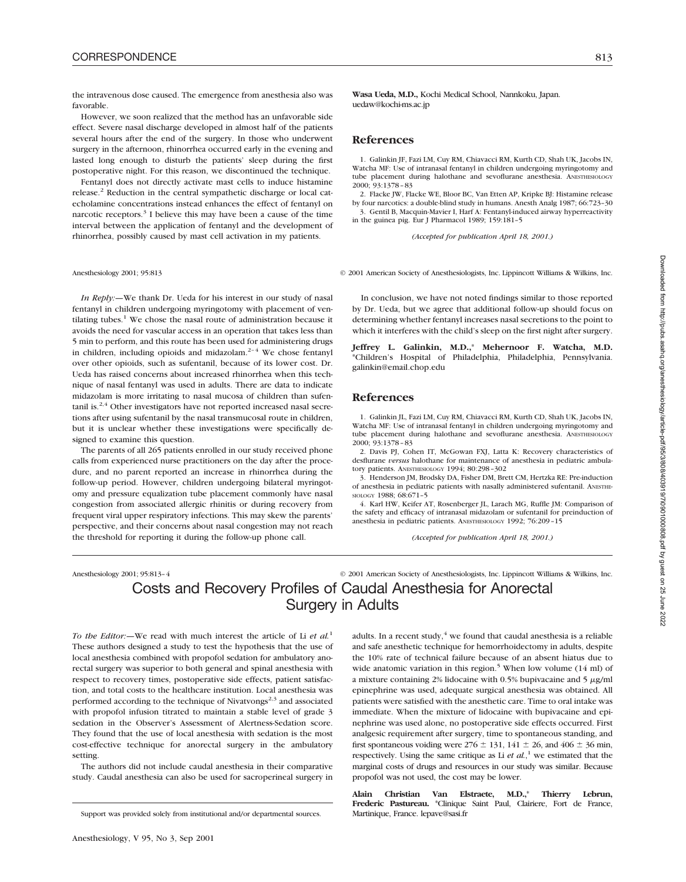the intravenous dose caused. The emergence from anesthesia also was favorable.

However, we soon realized that the method has an unfavorable side effect. Severe nasal discharge developed in almost half of the patients several hours after the end of the surgery. In those who underwent surgery in the afternoon, rhinorrhea occurred early in the evening and lasted long enough to disturb the patients' sleep during the first postoperative night. For this reason, we discontinued the technique.

Fentanyl does not directly activate mast cells to induce histamine release.<sup>2</sup> Reduction in the central sympathetic discharge or local catecholamine concentrations instead enhances the effect of fentanyl on narcotic receptors. $3$  I believe this may have been a cause of the time interval between the application of fentanyl and the development of rhinorrhea, possibly caused by mast cell activation in my patients.

*In Reply:—*We thank Dr. Ueda for his interest in our study of nasal fentanyl in children undergoing myringotomy with placement of ventilating tubes.<sup>1</sup> We chose the nasal route of administration because it avoids the need for vascular access in an operation that takes less than 5 min to perform, and this route has been used for administering drugs in children, including opioids and midazolam. $2-4$  We chose fentanyl over other opioids, such as sufentanil, because of its lower cost. Dr. Ueda has raised concerns about increased rhinorrhea when this technique of nasal fentanyl was used in adults. There are data to indicate midazolam is more irritating to nasal mucosa of children than sufentanil is.<sup>2,4</sup> Other investigators have not reported increased nasal secretions after using sufentanil by the nasal transmucosal route in children, but it is unclear whether these investigations were specifically designed to examine this question.

The parents of all 265 patients enrolled in our study received phone calls from experienced nurse practitioners on the day after the procedure, and no parent reported an increase in rhinorrhea during the follow-up period. However, children undergoing bilateral myringotomy and pressure equalization tube placement commonly have nasal congestion from associated allergic rhinitis or during recovery from frequent viral upper respiratory infections. This may skew the parents' perspective, and their concerns about nasal congestion may not reach the threshold for reporting it during the follow-up phone call.

**Wasa Ueda, M.D.,** Kochi Medical School, Nannkoku, Japan. uedaw@kochi-ms.ac.jp

# **References**

1. Galinkin JF, Fazi LM, Cuy RM, Chiavacci RM, Kurth CD, Shah UK, Jacobs IN, Watcha MF: Use of intranasal fentanyl in children undergoing myringotomy and tube placement during halothane and sevoflurane anesthesia. ANESTHESIOLOGY 2000; 93:1378–83

2. Flacke JW, Flacke WE, Bloor BC, Van Etten AP, Kripke BJ: Histamine release by four narcotics: a double-blind study in humans. Anesth Analg 1987; 66:723–30 3. Gentil B, Macquin-Mavier I, Harf A: Fentanyl-induced airway hyperreactivity in the guinea pig. Eur J Pharmacol 1989; 159:181–5

*(Accepted for publication April 18, 2001.)*

Anesthesiology 2001; 95:813 © 2001 American Society of Anesthesiologists, Inc. Lippincott Williams & Wilkins, Inc.

In conclusion, we have not noted findings similar to those reported by Dr. Ueda, but we agree that additional follow-up should focus on determining whether fentanyl increases nasal secretions to the point to which it interferes with the child's sleep on the first night after surgery.

**Jeffrey L. Galinkin, M.D.,**\* **Mehernoor F. Watcha, M.D.** \*Children's Hospital of Philadelphia, Philadelphia, Pennsylvania. galinkin@email.chop.edu

## **References**

1. Galinkin JL, Fazi LM, Cuy RM, Chiavacci RM, Kurth CD, Shah UK, Jacobs IN, Watcha MF: Use of intranasal fentanyl in children undergoing myringotomy and tube placement during halothane and sevoflurane anesthesia. ANESTHESIOLOGY 2000; 93:1378–83

2. Davis PJ, Cohen IT, McGowan FXJ, Latta K: Recovery characteristics of desflurane *versus* halothane for maintenance of anesthesia in pediatric ambulatory patients. ANESTHESIOLOGY 1994; 80:298–302

3. Henderson JM, Brodsky DA, Fisher DM, Brett CM, Hertzka RE: Pre-induction of anesthesia in pediatric patients with nasally administered sufentanil. ANESTHE-SIOLOGY 1988; 68:671–5

4. Karl HW, Keifer AT, Rosenberger JL, Larach MG, Ruffle JM: Comparison of the safety and efficacy of intranasal midazolam or sufentanil for preinduction of anesthesia in pediatric patients. ANESTHESIOLOGY 1992; 76:209–15

*(Accepted for publication April 18, 2001.)*

# Anesthesiology 2001; 95:813-4 <sup>©</sup> 2001 American Society of Anesthesiologists, Inc. Lippincott Williams & Wilkins, Inc. Costs and Recovery Profiles of Caudal Anesthesia for Anorectal Surgery in Adults

*To the Editor:—*We read with much interest the article of Li *et al.*<sup>1</sup> These authors designed a study to test the hypothesis that the use of local anesthesia combined with propofol sedation for ambulatory anorectal surgery was superior to both general and spinal anesthesia with respect to recovery times, postoperative side effects, patient satisfaction, and total costs to the healthcare institution. Local anesthesia was performed according to the technique of Nivatvongs<sup>2,3</sup> and associated with propofol infusion titrated to maintain a stable level of grade 3 sedation in the Observer's Assessment of Alertness-Sedation score. They found that the use of local anesthesia with sedation is the most cost-effective technique for anorectal surgery in the ambulatory setting.

The authors did not include caudal anesthesia in their comparative study. Caudal anesthesia can also be used for sacroperineal surgery in adults. In a recent study, $4 \text{ we found that caudal anesthesia is a reliable}$ and safe anesthetic technique for hemorrhoidectomy in adults, despite the 10% rate of technical failure because of an absent hiatus due to wide anatomic variation in this region.<sup>5</sup> When low volume  $(14 \text{ ml})$  of a mixture containing  $2\%$  lidocaine with 0.5% bupivacaine and 5  $\mu$ g/ml epinephrine was used, adequate surgical anesthesia was obtained. All patients were satisfied with the anesthetic care. Time to oral intake was immediate. When the mixture of lidocaine with bupivacaine and epinephrine was used alone, no postoperative side effects occurred. First analgesic requirement after surgery, time to spontaneous standing, and first spontaneous voiding were  $276 \pm 131$ ,  $141 \pm 26$ , and  $406 \pm 36$  min, respectively. Using the same critique as Li *et al.*, <sup>1</sup> we estimated that the marginal costs of drugs and resources in our study was similar. Because propofol was not used, the cost may be lower.

**Alain Christian Van Elstraete, M.D.,**\* **Thierry Lebrun, Frederic Pastureau.** \*Clinique Saint Paul, Clairiere, Fort de France,

Support was provided solely from institutional and/or departmental sources.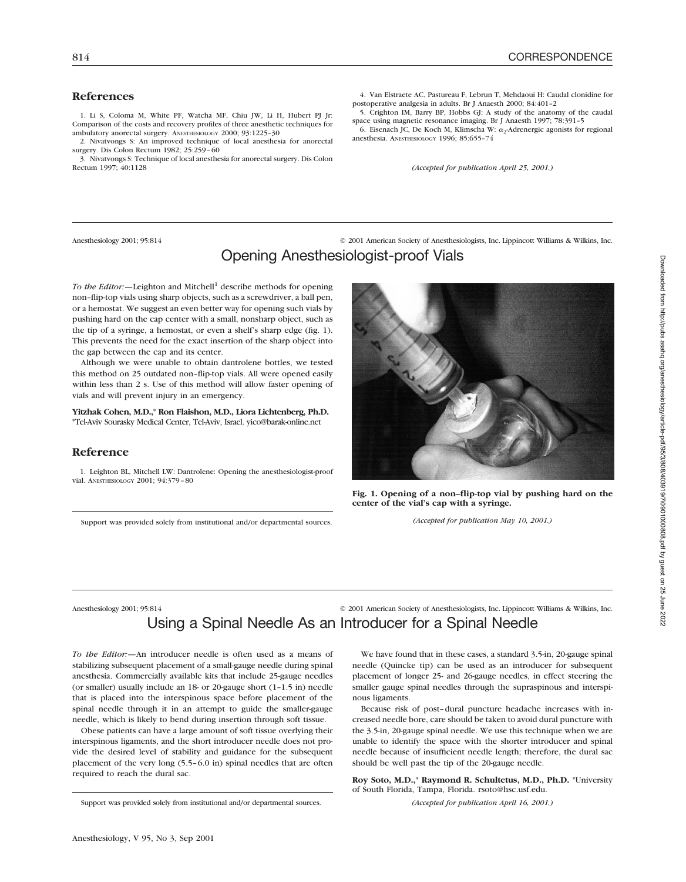# **References**

1. Li S, Coloma M, White PF, Watcha MF, Chiu JW, Li H, Hubert PJ Jr: Comparison of the costs and recovery profiles of three anesthetic techniques for ambulatory anorectal surgery. ANESTHESIOLOGY 2000; 93:1225–30

2. Nivatvongs S: An improved technique of local anesthesia for anorectal surgery. Dis Colon Rectum 1982; 25:259–60

3. Nivatvongs S: Technique of local anesthesia for anorectal surgery. Dis Colon Rectum 1997; 40:1128

4. Van Elstraete AC, Pastureau F, Lebrun T, Mehdaoui H: Caudal clonidine for postoperative analgesia in adults. Br J Anaesth 2000; 84:401–2

5. Crighton IM, Barry BP, Hobbs GJ: A study of the anatomy of the caudal space using magnetic resonance imaging. Br J Anaesth 1997; 78:391–5

6. Eisenach JC, De Koch M, Klimscha W:  $\alpha_2$ -Adrenergic agonists for regional anesthesia. ANESTHESIOLOGY 1996; 85:655–74

*(Accepted for publication April 25, 2001.)*

Anesthesiology 2001; 95:814 © 2001 American Society of Anesthesiologists, Inc. Lippincott Williams & Wilkins, Inc. Opening Anesthesiologist-proof Vials

*To the Editor:*—Leighton and Mitchell<sup>1</sup> describe methods for opening non–flip-top vials using sharp objects, such as a screwdriver, a ball pen, or a hemostat. We suggest an even better way for opening such vials by pushing hard on the cap center with a small, nonsharp object, such as the tip of a syringe, a hemostat, or even a shelf's sharp edge (fig. 1). This prevents the need for the exact insertion of the sharp object into the gap between the cap and its center.

Although we were unable to obtain dantrolene bottles, we tested this method on 25 outdated non–flip-top vials. All were opened easily within less than 2 s. Use of this method will allow faster opening of vials and will prevent injury in an emergency.

**Yitzhak Cohen, M.D.,**\* **Ron Flaishon, M.D., Liora Lichtenberg, Ph.D.** \*Tel-Aviv Sourasky Medical Center, Tel-Aviv, Israel. yico@barak-online.net

### **Reference**

1. Leighton BL, Mitchell LW: Dantrolene: Opening the anesthesiologist-proof vial. ANESTHESIOLOGY 2001; 94:379–80

Support was provided solely from institutional and/or departmental sources.



**Fig. 1. Opening of a non–flip-top vial by pushing hard on the center of the vial's cap with a syringe.**

*(Accepted for publication May 10, 2001.)*

Anesthesiology 2001; 95:814 © 2001 American Society of Anesthesiologists, Inc. Lippincott Williams & Wilkins, Inc. Using a Spinal Needle As an Introducer for a Spinal Needle

*To the Editor:—*An introducer needle is often used as a means of stabilizing subsequent placement of a small-gauge needle during spinal anesthesia. Commercially available kits that include 25-gauge needles (or smaller) usually include an 18- or 20-gauge short (1–1.5 in) needle that is placed into the interspinous space before placement of the spinal needle through it in an attempt to guide the smaller-gauge needle, which is likely to bend during insertion through soft tissue.

Obese patients can have a large amount of soft tissue overlying their interspinous ligaments, and the short introducer needle does not provide the desired level of stability and guidance for the subsequent placement of the very long (5.5–6.0 in) spinal needles that are often required to reach the dural sac.

Support was provided solely from institutional and/or departmental sources.

We have found that in these cases, a standard 3.5-in, 20-gauge spinal needle (Quincke tip) can be used as an introducer for subsequent placement of longer 25- and 26-gauge needles, in effect steering the smaller gauge spinal needles through the supraspinous and interspinous ligaments.

Because risk of post–dural puncture headache increases with increased needle bore, care should be taken to avoid dural puncture with the 3.5-in, 20-gauge spinal needle. We use this technique when we are unable to identify the space with the shorter introducer and spinal needle because of insufficient needle length; therefore, the dural sac should be well past the tip of the 20-gauge needle.

**Roy Soto, M.D.,**\* **Raymond R. Schultetus, M.D., Ph.D.** \*University of South Florida, Tampa, Florida. rsoto@hsc.usf.edu.

*(Accepted for publication April 16, 2001.)*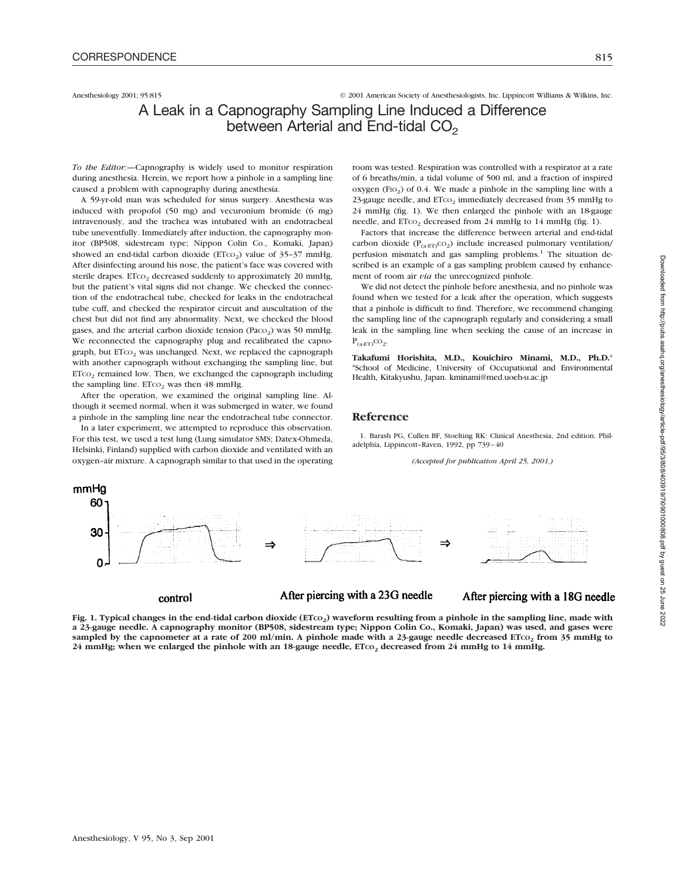Anesthesiology 2001; 95:815 © 2001 American Society of Anesthesiologists, Inc. Lippincott Williams & Wilkins, Inc.

# A Leak in a Capnography Sampling Line Induced a Difference between Arterial and End-tidal  $CO<sub>2</sub>$

*To the Editor:—*Capnography is widely used to monitor respiration during anesthesia. Herein, we report how a pinhole in a sampling line caused a problem with capnography during anesthesia.

A 59-yr-old man was scheduled for sinus surgery. Anesthesia was induced with propofol (50 mg) and vecuronium bromide (6 mg) intravenously, and the trachea was intubated with an endotracheal tube uneventfully. Immediately after induction, the capnography monitor (BP508, sidestream type; Nippon Colin Co., Komaki, Japan) showed an end-tidal carbon dioxide ( $ETCO<sub>2</sub>$ ) value of 35-37 mmHg. After disinfecting around his nose, the patient's face was covered with sterile drapes.  $ETCO<sub>2</sub>$  decreased suddenly to approximately 20 mmHg, but the patient's vital signs did not change. We checked the connection of the endotracheal tube, checked for leaks in the endotracheal tube cuff, and checked the respirator circuit and auscultation of the chest but did not find any abnormality. Next, we checked the blood gases, and the arterial carbon dioxide tension (Paco<sub>2</sub>) was 50 mmHg. We reconnected the capnography plug and recalibrated the capnograph, but  $ETCO<sub>2</sub>$  was unchanged. Next, we replaced the capnograph with another capnograph without exchanging the sampling line, but  $ETCO<sub>2</sub>$  remained low. Then, we exchanged the capnograph including the sampling line.  $ETCO<sub>2</sub>$  was then 48 mmHg.

After the operation, we examined the original sampling line. Although it seemed normal, when it was submerged in water, we found a pinhole in the sampling line near the endotracheal tube connector.

In a later experiment, we attempted to reproduce this observation. For this test, we used a test lung (Lung simulator SMS; Datex-Ohmeda, Helsinki, Finland) supplied with carbon dioxide and ventilated with an oxygen–air mixture. A capnograph similar to that used in the operating room was tested. Respiration was controlled with a respirator at a rate of 6 breaths/min, a tidal volume of 500 ml, and a fraction of inspired oxygen (FIO<sub>2</sub>) of 0.4. We made a pinhole in the sampling line with a 23-gauge needle, and  $ETCO<sub>2</sub>$  immediately decreased from 35 mmHg to 24 mmHg (fig. 1). We then enlarged the pinhole with an 18-gauge needle, and ETco<sub>2</sub> decreased from 24 mmHg to 14 mmHg (fig. 1).

Factors that increase the difference between arterial and end-tidal carbon dioxide ( $P_{(a-ET)}CO_2$ ) include increased pulmonary ventilation/ perfusion mismatch and gas sampling problems.<sup>1</sup> The situation described is an example of a gas sampling problem caused by enhancement of room air *via* the unrecognized pinhole.

We did not detect the pinhole before anesthesia, and no pinhole was found when we tested for a leak after the operation, which suggests that a pinhole is difficult to find. Therefore, we recommend changing the sampling line of the capnograph regularly and considering a small leak in the sampling line when seeking the cause of an increase in  $P_{\text{(a-ET)}}$ CO<sub>2</sub>.

**Takafumi Horishita, M.D., Kouichiro Minami, M.D., Ph.D.**\* \*School of Medicine, University of Occupational and Environmental Health, Kitakyushu, Japan. kminami@med.uoeh-u.ac.jp

### **Reference**

1. Barash PG, Cullen BF, Stoelting RK: Clinical Anesthesia, 2nd edition. Philadelphia, Lippincott–Raven, 1992, pp 739–40

*(Accepted for publication April 25, 2001.)*



Fig. 1. Typical changes in the end-tidal carbon dioxide (ETcO<sub>2</sub>) waveform resulting from a pinhole in the sampling line, made with **a 23-gauge needle. A capnography monitor (BP508, sidestream type; Nippon Colin Co., Komaki, Japan) was used, and gases were** sampled by the capnometer at a rate of 200 ml/min. A pinhole made with a 23-gauge needle decreased ETco<sub>2</sub> from 35 mmHg to 24 mmHg; when we enlarged the pinhole with an 18-gauge needle, ETCO<sub>2</sub> decreased from 24 mmHg to 14 mmHg.